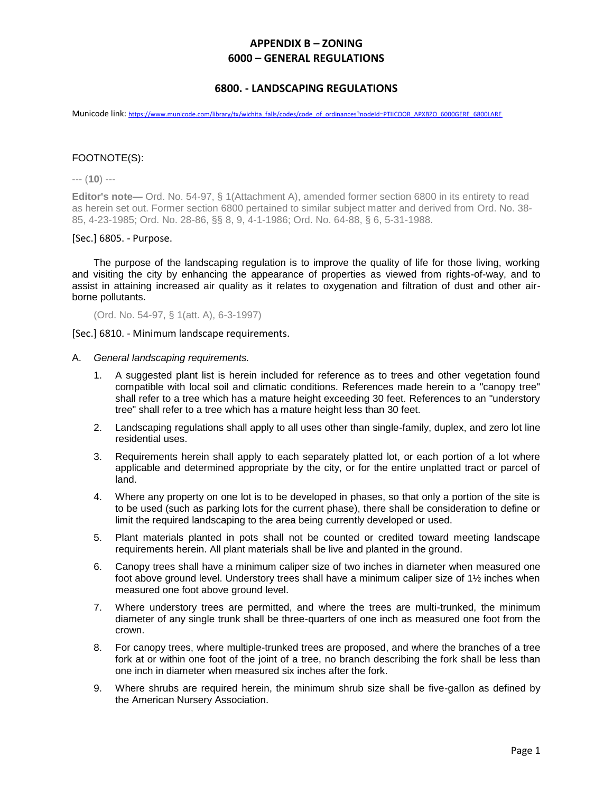#### **6800. - LANDSCAPING REGULATIONS**

Municode link: [https://www.municode.com/library/tx/wichita\\_falls/codes/code\\_of\\_ordinances?nodeId=PTIICOOR\\_APXBZO\\_6000GERE\\_6800LARE](https://www.municode.com/library/tx/wichita_falls/codes/code_of_ordinances?nodeId=PTIICOOR_APXBZO_6000GERE_6800LARE)

#### FOOTNOTE(S):

--- (**10**) ---

**Editor's note—** Ord. No. 54-97, § 1(Attachment A), amended former section 6800 in its entirety to read as herein set out. Former section 6800 pertained to similar subject matter and derived from Ord. No. 38- 85, 4-23-1985; Ord. No. 28-86, §§ 8, 9, 4-1-1986; Ord. No. 64-88, § 6, 5-31-1988.

#### [Sec.] 6805. - Purpose.

The purpose of the landscaping regulation is to improve the quality of life for those living, working and visiting the city by enhancing the appearance of properties as viewed from rights-of-way, and to assist in attaining increased air quality as it relates to oxygenation and filtration of dust and other airborne pollutants.

(Ord. No. 54-97, § 1(att. A), 6-3-1997)

[Sec.] 6810. - Minimum landscape requirements.

- A. *General landscaping requirements.*
	- 1. A suggested plant list is herein included for reference as to trees and other vegetation found compatible with local soil and climatic conditions. References made herein to a "canopy tree" shall refer to a tree which has a mature height exceeding 30 feet. References to an "understory tree" shall refer to a tree which has a mature height less than 30 feet.
	- 2. Landscaping regulations shall apply to all uses other than single-family, duplex, and zero lot line residential uses.
	- 3. Requirements herein shall apply to each separately platted lot, or each portion of a lot where applicable and determined appropriate by the city, or for the entire unplatted tract or parcel of land.
	- 4. Where any property on one lot is to be developed in phases, so that only a portion of the site is to be used (such as parking lots for the current phase), there shall be consideration to define or limit the required landscaping to the area being currently developed or used.
	- 5. Plant materials planted in pots shall not be counted or credited toward meeting landscape requirements herein. All plant materials shall be live and planted in the ground.
	- 6. Canopy trees shall have a minimum caliper size of two inches in diameter when measured one foot above ground level. Understory trees shall have a minimum caliper size of 1½ inches when measured one foot above ground level.
	- 7. Where understory trees are permitted, and where the trees are multi-trunked, the minimum diameter of any single trunk shall be three-quarters of one inch as measured one foot from the crown.
	- 8. For canopy trees, where multiple-trunked trees are proposed, and where the branches of a tree fork at or within one foot of the joint of a tree, no branch describing the fork shall be less than one inch in diameter when measured six inches after the fork.
	- 9. Where shrubs are required herein, the minimum shrub size shall be five-gallon as defined by the American Nursery Association.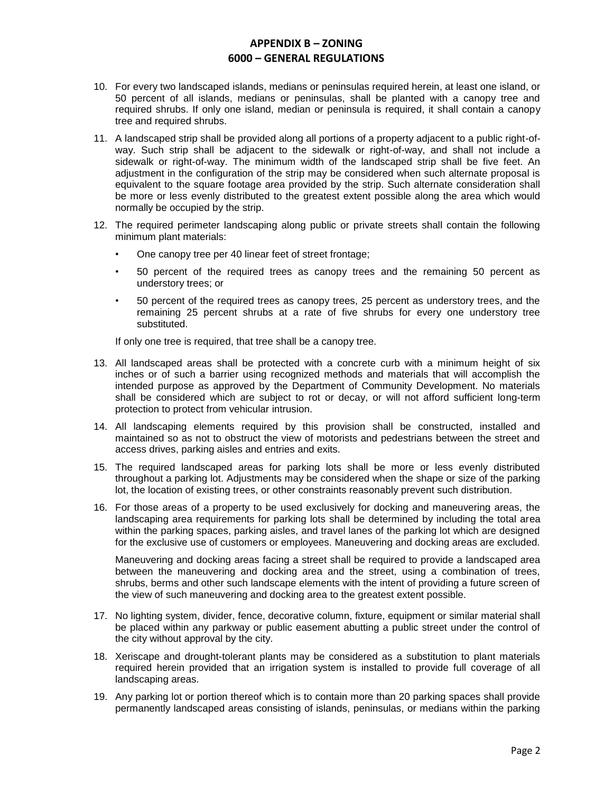- 10. For every two landscaped islands, medians or peninsulas required herein, at least one island, or 50 percent of all islands, medians or peninsulas, shall be planted with a canopy tree and required shrubs. If only one island, median or peninsula is required, it shall contain a canopy tree and required shrubs.
- 11. A landscaped strip shall be provided along all portions of a property adjacent to a public right-ofway. Such strip shall be adjacent to the sidewalk or right-of-way, and shall not include a sidewalk or right-of-way. The minimum width of the landscaped strip shall be five feet. An adjustment in the configuration of the strip may be considered when such alternate proposal is equivalent to the square footage area provided by the strip. Such alternate consideration shall be more or less evenly distributed to the greatest extent possible along the area which would normally be occupied by the strip.
- 12. The required perimeter landscaping along public or private streets shall contain the following minimum plant materials:
	- One canopy tree per 40 linear feet of street frontage;
	- 50 percent of the required trees as canopy trees and the remaining 50 percent as understory trees; or
	- 50 percent of the required trees as canopy trees, 25 percent as understory trees, and the remaining 25 percent shrubs at a rate of five shrubs for every one understory tree substituted.

If only one tree is required, that tree shall be a canopy tree.

- 13. All landscaped areas shall be protected with a concrete curb with a minimum height of six inches or of such a barrier using recognized methods and materials that will accomplish the intended purpose as approved by the Department of Community Development. No materials shall be considered which are subject to rot or decay, or will not afford sufficient long-term protection to protect from vehicular intrusion.
- 14. All landscaping elements required by this provision shall be constructed, installed and maintained so as not to obstruct the view of motorists and pedestrians between the street and access drives, parking aisles and entries and exits.
- 15. The required landscaped areas for parking lots shall be more or less evenly distributed throughout a parking lot. Adjustments may be considered when the shape or size of the parking lot, the location of existing trees, or other constraints reasonably prevent such distribution.
- 16. For those areas of a property to be used exclusively for docking and maneuvering areas, the landscaping area requirements for parking lots shall be determined by including the total area within the parking spaces, parking aisles, and travel lanes of the parking lot which are designed for the exclusive use of customers or employees. Maneuvering and docking areas are excluded.

Maneuvering and docking areas facing a street shall be required to provide a landscaped area between the maneuvering and docking area and the street, using a combination of trees, shrubs, berms and other such landscape elements with the intent of providing a future screen of the view of such maneuvering and docking area to the greatest extent possible.

- 17. No lighting system, divider, fence, decorative column, fixture, equipment or similar material shall be placed within any parkway or public easement abutting a public street under the control of the city without approval by the city.
- 18. Xeriscape and drought-tolerant plants may be considered as a substitution to plant materials required herein provided that an irrigation system is installed to provide full coverage of all landscaping areas.
- 19. Any parking lot or portion thereof which is to contain more than 20 parking spaces shall provide permanently landscaped areas consisting of islands, peninsulas, or medians within the parking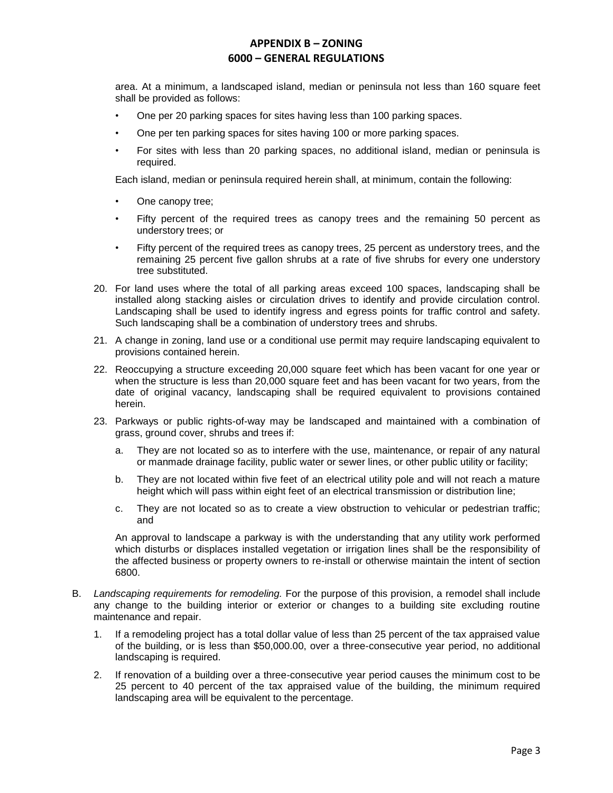area. At a minimum, a landscaped island, median or peninsula not less than 160 square feet shall be provided as follows:

- One per 20 parking spaces for sites having less than 100 parking spaces.
- One per ten parking spaces for sites having 100 or more parking spaces.
- For sites with less than 20 parking spaces, no additional island, median or peninsula is required.

Each island, median or peninsula required herein shall, at minimum, contain the following:

- One canopy tree;
- Fifty percent of the required trees as canopy trees and the remaining 50 percent as understory trees; or
- Fifty percent of the required trees as canopy trees, 25 percent as understory trees, and the remaining 25 percent five gallon shrubs at a rate of five shrubs for every one understory tree substituted.
- 20. For land uses where the total of all parking areas exceed 100 spaces, landscaping shall be installed along stacking aisles or circulation drives to identify and provide circulation control. Landscaping shall be used to identify ingress and egress points for traffic control and safety. Such landscaping shall be a combination of understory trees and shrubs.
- 21. A change in zoning, land use or a conditional use permit may require landscaping equivalent to provisions contained herein.
- 22. Reoccupying a structure exceeding 20,000 square feet which has been vacant for one year or when the structure is less than 20,000 square feet and has been vacant for two years, from the date of original vacancy, landscaping shall be required equivalent to provisions contained herein.
- 23. Parkways or public rights-of-way may be landscaped and maintained with a combination of grass, ground cover, shrubs and trees if:
	- a. They are not located so as to interfere with the use, maintenance, or repair of any natural or manmade drainage facility, public water or sewer lines, or other public utility or facility;
	- b. They are not located within five feet of an electrical utility pole and will not reach a mature height which will pass within eight feet of an electrical transmission or distribution line;
	- c. They are not located so as to create a view obstruction to vehicular or pedestrian traffic; and

An approval to landscape a parkway is with the understanding that any utility work performed which disturbs or displaces installed vegetation or irrigation lines shall be the responsibility of the affected business or property owners to re-install or otherwise maintain the intent of section 6800.

- B. *Landscaping requirements for remodeling.* For the purpose of this provision, a remodel shall include any change to the building interior or exterior or changes to a building site excluding routine maintenance and repair.
	- 1. If a remodeling project has a total dollar value of less than 25 percent of the tax appraised value of the building, or is less than \$50,000.00, over a three-consecutive year period, no additional landscaping is required.
	- 2. If renovation of a building over a three-consecutive year period causes the minimum cost to be 25 percent to 40 percent of the tax appraised value of the building, the minimum required landscaping area will be equivalent to the percentage.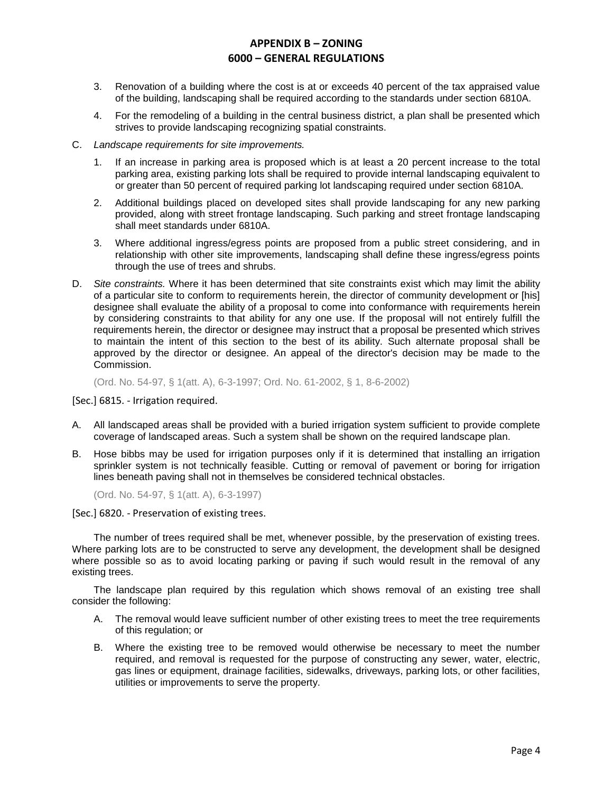- 3. Renovation of a building where the cost is at or exceeds 40 percent of the tax appraised value of the building, landscaping shall be required according to the standards under section 6810A.
- 4. For the remodeling of a building in the central business district, a plan shall be presented which strives to provide landscaping recognizing spatial constraints.
- C. *Landscape requirements for site improvements.*
	- 1. If an increase in parking area is proposed which is at least a 20 percent increase to the total parking area, existing parking lots shall be required to provide internal landscaping equivalent to or greater than 50 percent of required parking lot landscaping required under section 6810A.
	- 2. Additional buildings placed on developed sites shall provide landscaping for any new parking provided, along with street frontage landscaping. Such parking and street frontage landscaping shall meet standards under 6810A.
	- 3. Where additional ingress/egress points are proposed from a public street considering, and in relationship with other site improvements, landscaping shall define these ingress/egress points through the use of trees and shrubs.
- D. *Site constraints.* Where it has been determined that site constraints exist which may limit the ability of a particular site to conform to requirements herein, the director of community development or [his] designee shall evaluate the ability of a proposal to come into conformance with requirements herein by considering constraints to that ability for any one use. If the proposal will not entirely fulfill the requirements herein, the director or designee may instruct that a proposal be presented which strives to maintain the intent of this section to the best of its ability. Such alternate proposal shall be approved by the director or designee. An appeal of the director's decision may be made to the Commission.

(Ord. No. 54-97, § 1(att. A), 6-3-1997; Ord. No. 61-2002, § 1, 8-6-2002)

[Sec.] 6815. - Irrigation required.

- A. All landscaped areas shall be provided with a buried irrigation system sufficient to provide complete coverage of landscaped areas. Such a system shall be shown on the required landscape plan.
- B. Hose bibbs may be used for irrigation purposes only if it is determined that installing an irrigation sprinkler system is not technically feasible. Cutting or removal of pavement or boring for irrigation lines beneath paving shall not in themselves be considered technical obstacles.

(Ord. No. 54-97, § 1(att. A), 6-3-1997)

[Sec.] 6820. - Preservation of existing trees.

The number of trees required shall be met, whenever possible, by the preservation of existing trees. Where parking lots are to be constructed to serve any development, the development shall be designed where possible so as to avoid locating parking or paving if such would result in the removal of any existing trees.

The landscape plan required by this regulation which shows removal of an existing tree shall consider the following:

- A. The removal would leave sufficient number of other existing trees to meet the tree requirements of this regulation; or
- B. Where the existing tree to be removed would otherwise be necessary to meet the number required, and removal is requested for the purpose of constructing any sewer, water, electric, gas lines or equipment, drainage facilities, sidewalks, driveways, parking lots, or other facilities, utilities or improvements to serve the property.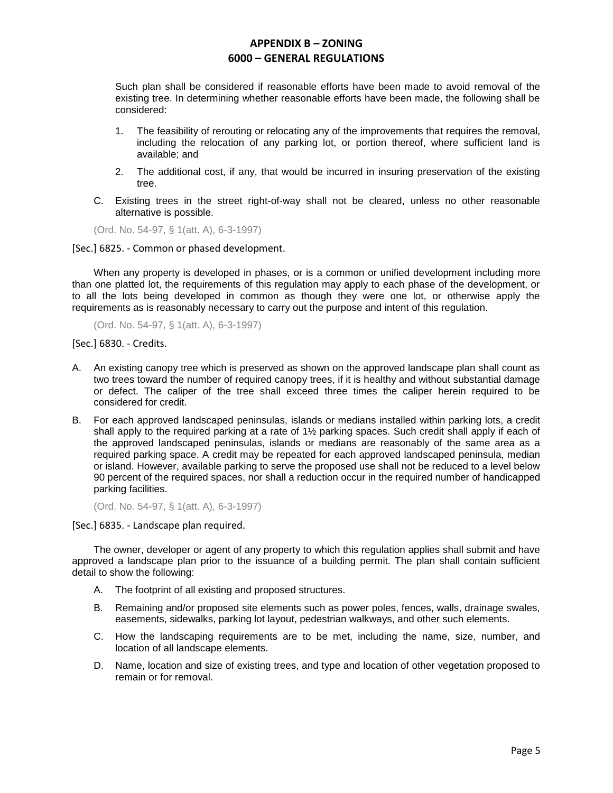Such plan shall be considered if reasonable efforts have been made to avoid removal of the existing tree. In determining whether reasonable efforts have been made, the following shall be considered:

- 1. The feasibility of rerouting or relocating any of the improvements that requires the removal, including the relocation of any parking lot, or portion thereof, where sufficient land is available; and
- 2. The additional cost, if any, that would be incurred in insuring preservation of the existing tree.
- C. Existing trees in the street right-of-way shall not be cleared, unless no other reasonable alternative is possible.

(Ord. No. 54-97, § 1(att. A), 6-3-1997)

[Sec.] 6825. - Common or phased development.

When any property is developed in phases, or is a common or unified development including more than one platted lot, the requirements of this regulation may apply to each phase of the development, or to all the lots being developed in common as though they were one lot, or otherwise apply the requirements as is reasonably necessary to carry out the purpose and intent of this regulation.

(Ord. No. 54-97, § 1(att. A), 6-3-1997)

[Sec.] 6830. - Credits.

- A. An existing canopy tree which is preserved as shown on the approved landscape plan shall count as two trees toward the number of required canopy trees, if it is healthy and without substantial damage or defect. The caliper of the tree shall exceed three times the caliper herein required to be considered for credit.
- B. For each approved landscaped peninsulas, islands or medians installed within parking lots, a credit shall apply to the required parking at a rate of 1½ parking spaces. Such credit shall apply if each of the approved landscaped peninsulas, islands or medians are reasonably of the same area as a required parking space. A credit may be repeated for each approved landscaped peninsula, median or island. However, available parking to serve the proposed use shall not be reduced to a level below 90 percent of the required spaces, nor shall a reduction occur in the required number of handicapped parking facilities.

(Ord. No. 54-97, § 1(att. A), 6-3-1997)

[Sec.] 6835. - Landscape plan required.

The owner, developer or agent of any property to which this regulation applies shall submit and have approved a landscape plan prior to the issuance of a building permit. The plan shall contain sufficient detail to show the following:

- A. The footprint of all existing and proposed structures.
- B. Remaining and/or proposed site elements such as power poles, fences, walls, drainage swales, easements, sidewalks, parking lot layout, pedestrian walkways, and other such elements.
- C. How the landscaping requirements are to be met, including the name, size, number, and location of all landscape elements.
- D. Name, location and size of existing trees, and type and location of other vegetation proposed to remain or for removal.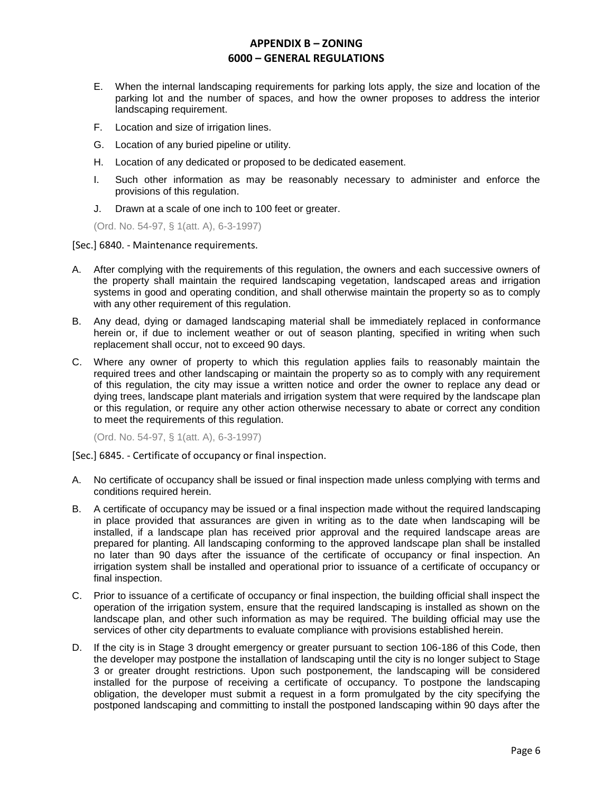- E. When the internal landscaping requirements for parking lots apply, the size and location of the parking lot and the number of spaces, and how the owner proposes to address the interior landscaping requirement.
- F. Location and size of irrigation lines.
- G. Location of any buried pipeline or utility.
- H. Location of any dedicated or proposed to be dedicated easement.
- I. Such other information as may be reasonably necessary to administer and enforce the provisions of this regulation.
- J. Drawn at a scale of one inch to 100 feet or greater.

(Ord. No. 54-97, § 1(att. A), 6-3-1997)

[Sec.] 6840. - Maintenance requirements.

- A. After complying with the requirements of this regulation, the owners and each successive owners of the property shall maintain the required landscaping vegetation, landscaped areas and irrigation systems in good and operating condition, and shall otherwise maintain the property so as to comply with any other requirement of this regulation.
- B. Any dead, dying or damaged landscaping material shall be immediately replaced in conformance herein or, if due to inclement weather or out of season planting, specified in writing when such replacement shall occur, not to exceed 90 days.
- C. Where any owner of property to which this regulation applies fails to reasonably maintain the required trees and other landscaping or maintain the property so as to comply with any requirement of this regulation, the city may issue a written notice and order the owner to replace any dead or dying trees, landscape plant materials and irrigation system that were required by the landscape plan or this regulation, or require any other action otherwise necessary to abate or correct any condition to meet the requirements of this regulation.

(Ord. No. 54-97, § 1(att. A), 6-3-1997)

[Sec.] 6845. - Certificate of occupancy or final inspection.

- A. No certificate of occupancy shall be issued or final inspection made unless complying with terms and conditions required herein.
- B. A certificate of occupancy may be issued or a final inspection made without the required landscaping in place provided that assurances are given in writing as to the date when landscaping will be installed, if a landscape plan has received prior approval and the required landscape areas are prepared for planting. All landscaping conforming to the approved landscape plan shall be installed no later than 90 days after the issuance of the certificate of occupancy or final inspection. An irrigation system shall be installed and operational prior to issuance of a certificate of occupancy or final inspection.
- C. Prior to issuance of a certificate of occupancy or final inspection, the building official shall inspect the operation of the irrigation system, ensure that the required landscaping is installed as shown on the landscape plan, and other such information as may be required. The building official may use the services of other city departments to evaluate compliance with provisions established herein.
- D. If the city is in Stage 3 drought emergency or greater pursuant to section 106-186 of this Code, then the developer may postpone the installation of landscaping until the city is no longer subject to Stage 3 or greater drought restrictions. Upon such postponement, the landscaping will be considered installed for the purpose of receiving a certificate of occupancy. To postpone the landscaping obligation, the developer must submit a request in a form promulgated by the city specifying the postponed landscaping and committing to install the postponed landscaping within 90 days after the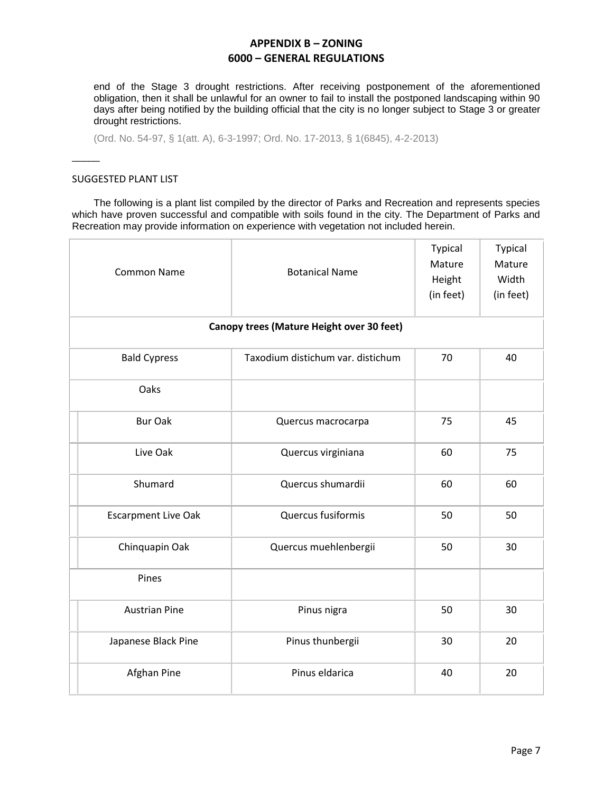end of the Stage 3 drought restrictions. After receiving postponement of the aforementioned obligation, then it shall be unlawful for an owner to fail to install the postponed landscaping within 90 days after being notified by the building official that the city is no longer subject to Stage 3 or greater drought restrictions.

(Ord. No. 54-97, § 1(att. A), 6-3-1997; Ord. No. 17-2013, § 1(6845), 4-2-2013)

#### SUGGESTED PLANT LIST

 $\overline{\phantom{a}}$ 

The following is a plant list compiled by the director of Parks and Recreation and represents species which have proven successful and compatible with soils found in the city. The Department of Parks and Recreation may provide information on experience with vegetation not included herein.

| <b>Common Name</b>                        | <b>Botanical Name</b>             | <b>Typical</b><br>Mature<br>Height<br>(in feet) | Typical<br>Mature<br>Width<br>(in feet) |  |
|-------------------------------------------|-----------------------------------|-------------------------------------------------|-----------------------------------------|--|
| Canopy trees (Mature Height over 30 feet) |                                   |                                                 |                                         |  |
| <b>Bald Cypress</b>                       | Taxodium distichum var. distichum | 70                                              | 40                                      |  |
| Oaks                                      |                                   |                                                 |                                         |  |
| <b>Bur Oak</b>                            | Quercus macrocarpa                | 75                                              | 45                                      |  |
| Live Oak                                  | Quercus virginiana                | 60                                              | 75                                      |  |
| Shumard                                   | Quercus shumardii                 | 60                                              | 60                                      |  |
| <b>Escarpment Live Oak</b>                | Quercus fusiformis                | 50                                              | 50                                      |  |
| Chinquapin Oak                            | Quercus muehlenbergii             | 50                                              | 30                                      |  |
| Pines                                     |                                   |                                                 |                                         |  |
| <b>Austrian Pine</b>                      | Pinus nigra                       | 50                                              | 30                                      |  |
| Japanese Black Pine                       | Pinus thunbergii                  | 30                                              | 20                                      |  |
| Afghan Pine                               | Pinus eldarica                    | 40                                              | 20                                      |  |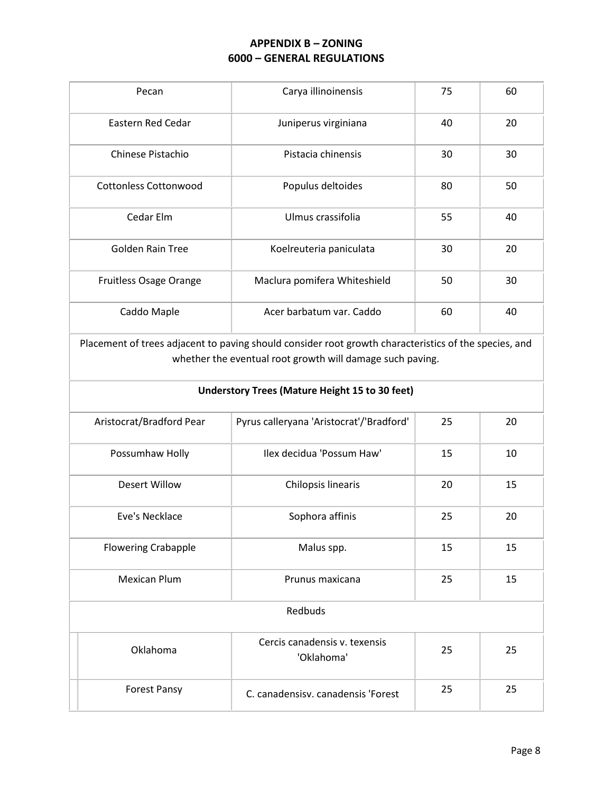| Pecan                        | Carya illinoinensis          | 75 | 60 |
|------------------------------|------------------------------|----|----|
| Eastern Red Cedar            | Juniperus virginiana         | 40 | 20 |
| Chinese Pistachio            | Pistacia chinensis           | 30 | 30 |
| <b>Cottonless Cottonwood</b> | Populus deltoides            | 80 | 50 |
| Cedar Elm                    | Ulmus crassifolia            | 55 | 40 |
| <b>Golden Rain Tree</b>      | Koelreuteria paniculata      | 30 | 20 |
| Fruitless Osage Orange       | Maclura pomifera Whiteshield | 50 | 30 |
| Caddo Maple                  | Acer barbatum var. Caddo     | 60 | 40 |

Placement of trees adjacent to paving should consider root growth characteristics of the species, and whether the eventual root growth will damage such paving.

| <b>Understory Trees (Mature Height 15 to 30 feet)</b> |                                             |    |    |
|-------------------------------------------------------|---------------------------------------------|----|----|
| Aristocrat/Bradford Pear                              | Pyrus calleryana 'Aristocrat'/'Bradford'    | 25 | 20 |
| Possumhaw Holly                                       | Ilex decidua 'Possum Haw'                   | 15 | 10 |
| Desert Willow                                         | Chilopsis linearis                          | 20 | 15 |
| Eve's Necklace                                        | Sophora affinis                             | 25 | 20 |
| <b>Flowering Crabapple</b>                            | Malus spp.                                  | 15 | 15 |
| <b>Mexican Plum</b>                                   | Prunus maxicana                             | 25 | 15 |
| Redbuds                                               |                                             |    |    |
| Oklahoma                                              | Cercis canadensis v. texensis<br>'Oklahoma' | 25 | 25 |
| <b>Forest Pansy</b>                                   | C. canadensisy. canadensis 'Forest          | 25 | 25 |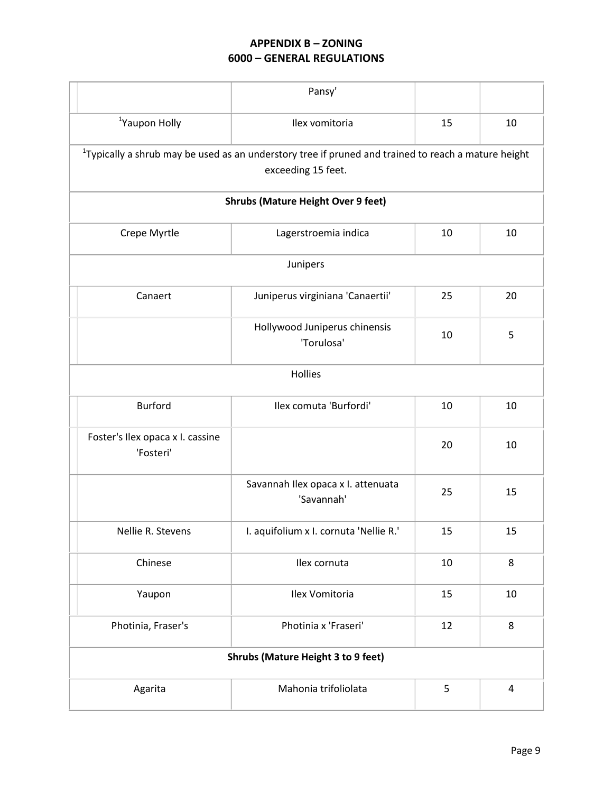|                                           |                                                                                                                              | Pansy'                                           |    |    |
|-------------------------------------------|------------------------------------------------------------------------------------------------------------------------------|--------------------------------------------------|----|----|
|                                           | <sup>1</sup> Yaupon Holly                                                                                                    | Ilex vomitoria                                   | 15 | 10 |
|                                           | $1$ Typically a shrub may be used as an understory tree if pruned and trained to reach a mature height<br>exceeding 15 feet. |                                                  |    |    |
|                                           | <b>Shrubs (Mature Height Over 9 feet)</b>                                                                                    |                                                  |    |    |
|                                           | Crepe Myrtle                                                                                                                 | Lagerstroemia indica                             | 10 | 10 |
| Junipers                                  |                                                                                                                              |                                                  |    |    |
|                                           | Canaert                                                                                                                      | Juniperus virginiana 'Canaertii'                 | 25 | 20 |
|                                           |                                                                                                                              | Hollywood Juniperus chinensis<br>'Torulosa'      | 10 | 5  |
| Hollies                                   |                                                                                                                              |                                                  |    |    |
|                                           | <b>Burford</b>                                                                                                               | Ilex comuta 'Burfordi'                           | 10 | 10 |
|                                           | Foster's Ilex opaca x I. cassine<br>'Fosteri'                                                                                |                                                  | 20 | 10 |
|                                           |                                                                                                                              | Savannah Ilex opaca x I. attenuata<br>'Savannah' | 25 | 15 |
|                                           | Nellie R. Stevens                                                                                                            | I. aquifolium x I. cornuta 'Nellie R.'           | 15 | 15 |
|                                           | Chinese                                                                                                                      | Ilex cornuta                                     | 10 | 8  |
|                                           | Yaupon                                                                                                                       | Ilex Vomitoria                                   | 15 | 10 |
|                                           | Photinia, Fraser's                                                                                                           | Photinia x 'Fraseri'                             | 12 | 8  |
| <b>Shrubs (Mature Height 3 to 9 feet)</b> |                                                                                                                              |                                                  |    |    |
|                                           | Agarita                                                                                                                      | Mahonia trifoliolata                             | 5  | 4  |